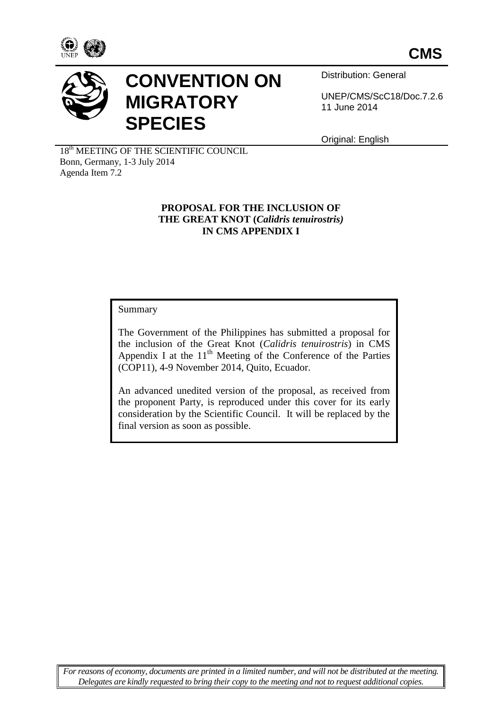



# **CONVENTION ON MIGRATORY SPECIES**

Distribution: General

UNEP/CMS/ScC18/Doc.7.2.6 11 June 2014

Original: English

18<sup>th</sup> MEETING OF THE SCIENTIFIC COUNCIL Bonn, Germany, 1-3 July 2014 Agenda Item 7.2

# **PROPOSAL FOR THE INCLUSION OF THE GREAT KNOT (***Calidris tenuirostris)* **IN CMS APPENDIX I**

# Summary

The Government of the Philippines has submitted a proposal for the inclusion of the Great Knot (*Calidris tenuirostris*) in CMS Appendix I at the  $11<sup>th</sup>$  Meeting of the Conference of the Parties (COP11), 4-9 November 2014, Quito, Ecuador.

An advanced unedited version of the proposal, as received from the proponent Party, is reproduced under this cover for its early consideration by the Scientific Council. It will be replaced by the final version as soon as possible.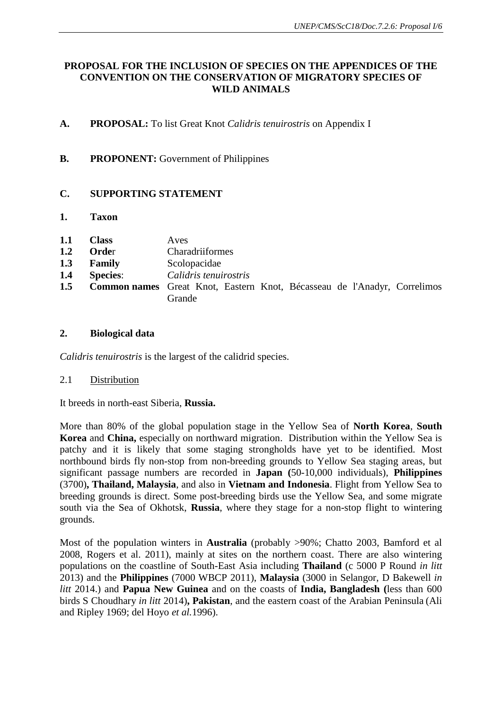# **PROPOSAL FOR THE INCLUSION OF SPECIES ON THE APPENDICES OF THE CONVENTION ON THE CONSERVATION OF MIGRATORY SPECIES OF WILD ANIMALS**

- **A. PROPOSAL:** To list Great Knot *Calidris tenuirostris* on Appendix I
- **B.** PROPONENT: Government of Philippines

# **C. SUPPORTING STATEMENT**

- **1. Taxon**
- **1.1 Class** Aves
- 1.2 Order Charadriiformes
- **1.3 Family** Scolopacidae
- **1.4 Species**: *Calidris tenuirostris*
- **1.5 Common names** Great Knot, Eastern Knot, Bécasseau de l'Anadyr, Correlimos Grande

## **2. Biological data**

*Calidris tenuirostris* is the largest of the calidrid species.

#### 2.1 Distribution

It breeds in north-east Siberia, **Russia.**

More than 80% of the global population stage in the Yellow Sea of **North Korea**, **South Korea** and **China,** especially on northward migration. Distribution within the Yellow Sea is patchy and it is likely that some staging strongholds have yet to be identified. Most northbound birds fly non-stop from non-breeding grounds to Yellow Sea staging areas, but significant passage numbers are recorded in **Japan (**50-10,000 individuals), **Philippines** (3700)**, Thailand, Malaysia**, and also in **Vietnam and Indonesia**. Flight from Yellow Sea to breeding grounds is direct. Some post-breeding birds use the Yellow Sea, and some migrate south via the Sea of Okhotsk, **Russia**, where they stage for a non-stop flight to wintering grounds.

Most of the population winters in **Australia** (probably >90%; Chatto 2003, Bamford et al 2008, Rogers et al. 2011), mainly at sites on the northern coast. There are also wintering populations on the coastline of South-East Asia including **Thailand** (c 5000 P Round *in litt* 2013) and the **Philippines** (7000 WBCP 2011), **Malaysia** (3000 in Selangor, D Bakewell *in litt* 2014.) and **Papua New Guinea** and on the coasts of **India, Bangladesh (**less than 600 birds S Choudhary *in litt* 2014)**, Pakistan**, and the eastern coast of the Arabian Peninsula (Ali and Ripley 1969; del Hoyo *et al.*1996).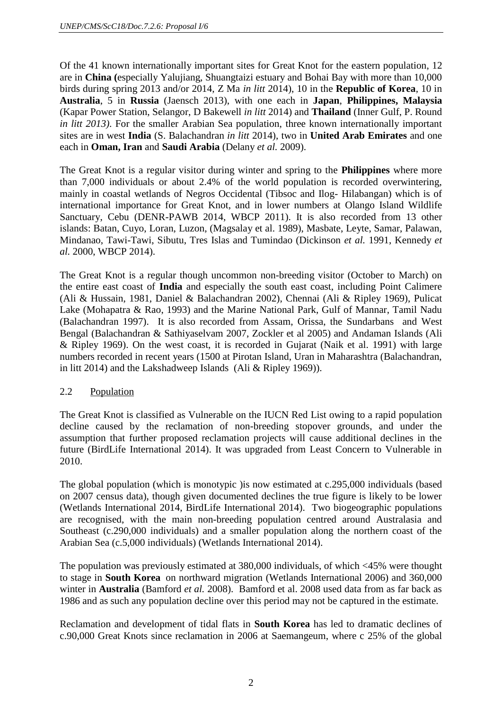Of the 41 known internationally important sites for Great Knot for the eastern population, 12 are in **China (**especially Yalujiang, Shuangtaizi estuary and Bohai Bay with more than 10,000 birds during spring 2013 and/or 2014, Z Ma *in litt* 2014), 10 in the **Republic of Korea**, 10 in **Australia**, 5 in **Russia** (Jaensch 2013), with one each in **Japan**, **Philippines, Malaysia**  (Kapar Power Station, Selangor, D Bakewell *in litt* 2014) and **Thailand** (Inner Gulf, P. Round *in litt 2013)*. For the smaller Arabian Sea population, three known internationally important sites are in west **India** (S. Balachandran *in litt* 2014), two in **United Arab Emirates** and one each in **Oman, Iran** and **Saudi Arabia** (Delany *et al.* 2009).

The Great Knot is a regular visitor during winter and spring to the **Philippines** where more than 7,000 individuals or about 2.4% of the world population is recorded overwintering, mainly in coastal wetlands of Negros Occidental (Tibsoc and Ilog- Hilabangan) which is of international importance for Great Knot, and in lower numbers at Olango Island Wildlife Sanctuary, Cebu (DENR-PAWB 2014, WBCP 2011). It is also recorded from 13 other islands: Batan, Cuyo, Loran, Luzon, (Magsalay et al. 1989), Masbate, Leyte, Samar, Palawan, Mindanao, Tawi-Tawi, Sibutu, Tres Islas and Tumindao (Dickinson *et al.* 1991, Kennedy *et al.* 2000, WBCP 2014).

The Great Knot is a regular though uncommon non-breeding visitor (October to March) on the entire east coast of **India** and especially the south east coast, including Point Calimere (Ali & Hussain, 1981, Daniel & Balachandran 2002), Chennai (Ali & Ripley 1969), Pulicat Lake (Mohapatra & Rao, 1993) and the Marine National Park, Gulf of Mannar, Tamil Nadu (Balachandran 1997). It is also recorded from Assam, Orissa, the Sundarbans and West Bengal (Balachandran & Sathiyaselvam 2007, Zockler et al 2005) and Andaman Islands (Ali & Ripley 1969). On the west coast, it is recorded in Gujarat (Naik et al. 1991) with large numbers recorded in recent years (1500 at Pirotan Island, Uran in Maharashtra (Balachandran, in litt 2014) and the Lakshadweep Islands (Ali & Ripley 1969)).

# 2.2 Population

The Great Knot is classified as Vulnerable on the IUCN Red List owing to a rapid population decline caused by the reclamation of non-breeding stopover grounds, and under the assumption that further proposed reclamation projects will cause additional declines in the future (BirdLife International 2014). It was upgraded from Least Concern to Vulnerable in 2010.

The global population (which is monotypic )is now estimated at c.295,000 individuals (based on 2007 census data), though given documented declines the true figure is likely to be lower (Wetlands International 2014, BirdLife International 2014). Two biogeographic populations are recognised, with the main non-breeding population centred around Australasia and Southeast (c.290,000 individuals) and a smaller population along the northern coast of the Arabian Sea (c.5,000 individuals) (Wetlands International 2014).

The population was previously estimated at 380,000 individuals, of which <45% were thought to stage in **South Korea** on northward migration (Wetlands International 2006) and 360,000 winter in **Australia** (Bamford *et al.* 2008). Bamford et al. 2008 used data from as far back as 1986 and as such any population decline over this period may not be captured in the estimate.

Reclamation and development of tidal flats in **South Korea** has led to dramatic declines of c.90,000 Great Knots since reclamation in 2006 at Saemangeum, where c 25% of the global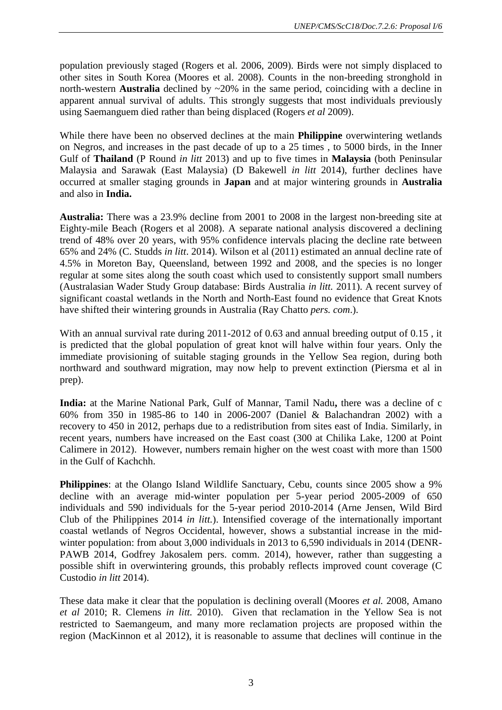population previously staged (Rogers et al. 2006, 2009). Birds were not simply displaced to other sites in South Korea (Moores et al. 2008). Counts in the non-breeding stronghold in north-western **Australia** declined by ~20% in the same period, coinciding with a decline in apparent annual survival of adults. This strongly suggests that most individuals previously using Saemanguem died rather than being displaced (Rogers *et al* 2009).

While there have been no observed declines at the main **Philippine** overwintering wetlands on Negros, and increases in the past decade of up to a 25 times , to 5000 birds, in the Inner Gulf of **Thailand** (P Round *in litt* 2013) and up to five times in **Malaysia** (both Peninsular Malaysia and Sarawak (East Malaysia) (D Bakewell *in litt* 2014), further declines have occurred at smaller staging grounds in **Japan** and at major wintering grounds in **Australia** and also in **India.**

**Australia:** There was a 23.9% decline from 2001 to 2008 in the largest non-breeding site at Eighty-mile Beach (Rogers et al 2008). A separate national analysis discovered a declining trend of 48% over 20 years, with 95% confidence intervals placing the decline rate between 65% and 24% (C. Studds *in litt*. 2014). Wilson et al (2011) estimated an annual decline rate of 4.5% in Moreton Bay, Queensland, between 1992 and 2008, and the species is no longer regular at some sites along the south coast which used to consistently support small numbers (Australasian Wader Study Group database: Birds Australia *in litt.* 2011). A recent survey of significant coastal wetlands in the North and North-East found no evidence that Great Knots have shifted their wintering grounds in Australia (Ray Chatto *pers. com*.).

With an annual survival rate during 2011-2012 of 0.63 and annual breeding output of 0.15, it is predicted that the global population of great knot will halve within four years. Only the immediate provisioning of suitable staging grounds in the Yellow Sea region, during both northward and southward migration, may now help to prevent extinction (Piersma et al in prep).

**India:** at the Marine National Park, Gulf of Mannar, Tamil Nadu**,** there was a decline of c 60% from 350 in 1985-86 to 140 in 2006-2007 (Daniel & Balachandran 2002) with a recovery to 450 in 2012, perhaps due to a redistribution from sites east of India. Similarly, in recent years, numbers have increased on the East coast (300 at Chilika Lake, 1200 at Point Calimere in 2012). However, numbers remain higher on the west coast with more than 1500 in the Gulf of Kachchh.

**Philippines**: at the Olango Island Wildlife Sanctuary, Cebu, counts since 2005 show a 9% decline with an average mid-winter population per 5-year period 2005-2009 of 650 individuals and 590 individuals for the 5-year period 2010-2014 (Arne Jensen, Wild Bird Club of the Philippines 2014 *in litt.*). Intensified coverage of the internationally important coastal wetlands of Negros Occidental, however, shows a substantial increase in the midwinter population: from about 3,000 individuals in 2013 to 6,590 individuals in 2014 (DENR-PAWB 2014, Godfrey Jakosalem pers. comm. 2014), however, rather than suggesting a possible shift in overwintering grounds, this probably reflects improved count coverage (C Custodio *in litt* 2014).

These data make it clear that the population is declining overall (Moores *et al.* 2008, Amano *et al* 2010; R. Clemens *in litt.* 2010). Given that reclamation in the Yellow Sea is not restricted to Saemangeum, and many more reclamation projects are proposed within the region (MacKinnon et al 2012), it is reasonable to assume that declines will continue in the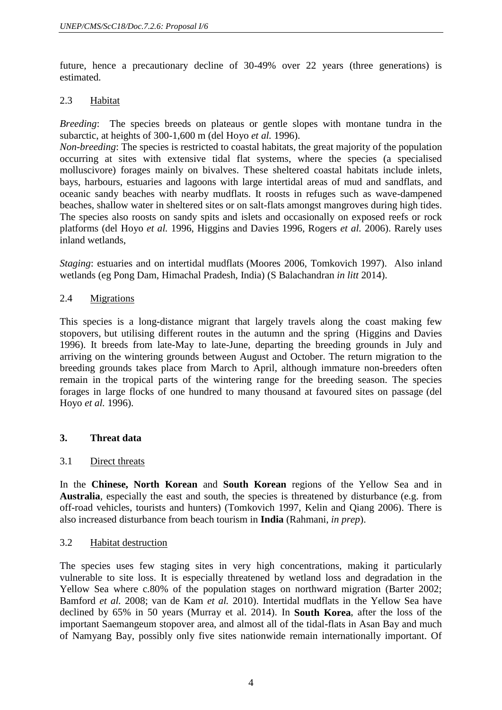future, hence a precautionary decline of 30-49% over 22 years (three generations) is estimated.

## 2.3 Habitat

*Breeding*: The species breeds on plateaus or gentle slopes with montane tundra in the subarctic, at heights of 300-1,600 m (del Hoyo *et al.* 1996).

*Non-breeding*: The species is restricted to coastal habitats, the great majority of the population occurring at sites with extensive tidal flat systems, where the species (a specialised molluscivore) forages mainly on bivalves. These sheltered coastal habitats include inlets, bays, harbours, estuaries and lagoons with large intertidal areas of mud and sandflats, and oceanic sandy beaches with nearby mudflats. It roosts in refuges such as wave-dampened beaches, shallow water in sheltered sites or on salt-flats amongst mangroves during high tides. The species also roosts on sandy spits and islets and occasionally on exposed reefs or rock platforms (del Hoyo *et al.* 1996, Higgins and Davies 1996, Rogers *et al.* 2006). Rarely uses inland wetlands,

*Staging*: estuaries and on intertidal mudflats (Moores 2006, Tomkovich 1997). Also inland wetlands (eg Pong Dam, Himachal Pradesh, India) (S Balachandran *in litt* 2014).

## 2.4 Migrations

This species is a long-distance migrant that largely travels along the coast making few stopovers, but utilising different routes in the autumn and the spring(Higgins and Davies 1996). It breeds from late-May to late-June, departing the breeding grounds in July and arriving on the wintering grounds between August and October. The return migration to the breeding grounds takes place from March to April, although immature non-breeders often remain in the tropical parts of the wintering range for the breeding season. The species forages in large flocks of one hundred to many thousand at favoured sites on passage (del Hoyo *et al.* 1996).

# **3. Threat data**

# 3.1 Direct threats

In the **Chinese, North Korean** and **South Korean** regions of the Yellow Sea and in **Australia**, especially the east and south, the species is threatened by disturbance (e.g. from off-road vehicles, tourists and hunters) (Tomkovich 1997, Kelin and Qiang 2006). There is also increased disturbance from beach tourism in **India** (Rahmani, *in prep*).

#### 3.2 Habitat destruction

The species uses few staging sites in very high concentrations, making it particularly vulnerable to site loss. It is especially threatened by wetland loss and degradation in the Yellow Sea where c.80% of the population stages on northward migration (Barter 2002; Bamford *et al.* 2008; van de Kam *et al.* 2010). Intertidal mudflats in the Yellow Sea have declined by 65% in 50 years (Murray et al. 2014). In **South Korea**, after the loss of the important Saemangeum stopover area, and almost all of the tidal-flats in Asan Bay and much of Namyang Bay, possibly only five sites nationwide remain internationally important. Of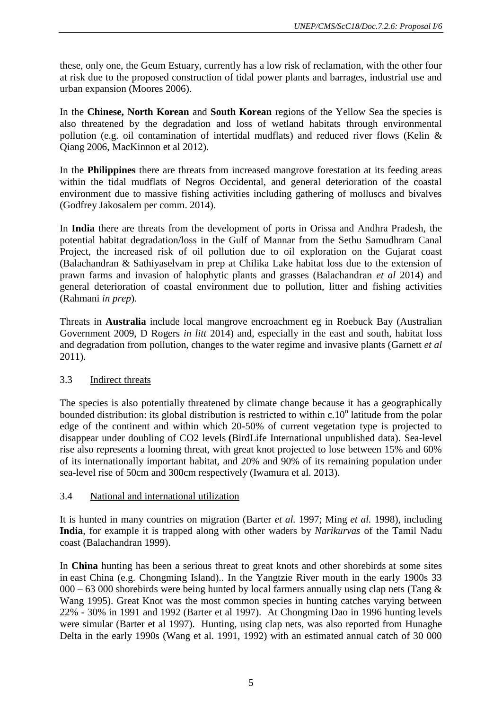these, only one, the Geum Estuary, currently has a low risk of reclamation, with the other four at risk due to the proposed construction of tidal power plants and barrages, industrial use and urban expansion (Moores 2006).

In the **Chinese, North Korean** and **South Korean** regions of the Yellow Sea the species is also threatened by the degradation and loss of wetland habitats through environmental pollution (e.g. oil contamination of intertidal mudflats) and reduced river flows (Kelin & Qiang 2006, MacKinnon et al 2012).

In the **Philippines** there are threats from increased mangrove forestation at its feeding areas within the tidal mudflats of Negros Occidental, and general deterioration of the coastal environment due to massive fishing activities including gathering of molluscs and bivalves (Godfrey Jakosalem per comm. 2014).

In **India** there are threats from the development of ports in Orissa and Andhra Pradesh, the potential habitat degradation/loss in the Gulf of Mannar from the Sethu Samudhram Canal Project, the increased risk of oil pollution due to oil exploration on the Gujarat coast (Balachandran & Sathiyaselvam in prep at Chilika Lake habitat loss due to the extension of prawn farms and invasion of halophytic plants and grasses (Balachandran *et al* 2014) and general deterioration of coastal environment due to pollution, litter and fishing activities (Rahmani *in prep*).

Threats in **Australia** include local mangrove encroachment eg in Roebuck Bay (Australian Government 2009, D Rogers *in litt* 2014) and, especially in the east and south, habitat loss and degradation from pollution, changes to the water regime and invasive plants (Garnett *et al* 2011).

# 3.3 Indirect threats

The species is also potentially threatened by climate change because it has a geographically bounded distribution: its global distribution is restricted to within c.10<sup>°</sup> latitude from the polar edge of the continent and within which 20-50% of current vegetation type is projected to disappear under doubling of CO2 levels **(**BirdLife International unpublished data). Sea-level rise also represents a looming threat, with great knot projected to lose between 15% and 60% of its internationally important habitat, and 20% and 90% of its remaining population under sea-level rise of 50cm and 300cm respectively (Iwamura et al. 2013).

#### 3.4 National and international utilization

It is hunted in many countries on migration (Barter *et al.* 1997; Ming *et al.* 1998), including **India**, for example it is trapped along with other waders by *Narikurvas* of the Tamil Nadu coast (Balachandran 1999).

In **China** hunting has been a serious threat to great knots and other shorebirds at some sites in east China (e.g. Chongming Island).. In the Yangtzie River mouth in the early 1900s 33  $000 - 63000$  shorebirds were being hunted by local farmers annually using clap nets (Tang  $\&$ Wang 1995). Great Knot was the most common species in hunting catches varying between 22% - 30% in 1991 and 1992 (Barter et al 1997). At Chongming Dao in 1996 hunting levels were simular (Barter et al 1997). Hunting, using clap nets, was also reported from Hunaghe Delta in the early 1990s (Wang et al. 1991, 1992) with an estimated annual catch of 30 000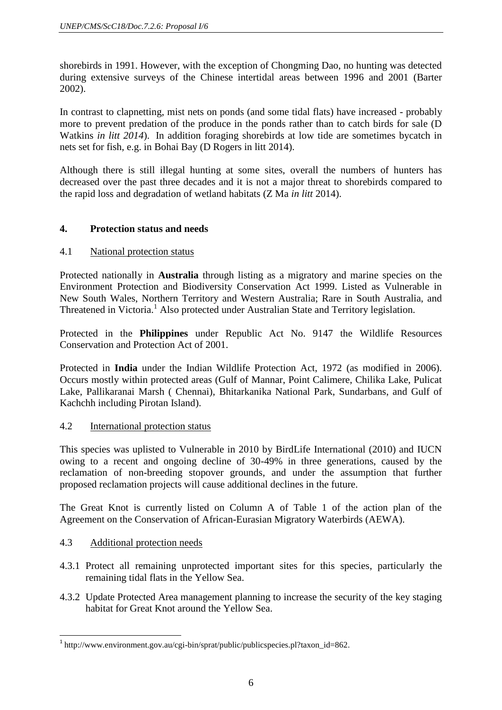shorebirds in 1991. However, with the exception of Chongming Dao, no hunting was detected during extensive surveys of the Chinese intertidal areas between 1996 and 2001 (Barter 2002).

In contrast to clapnetting, mist nets on ponds (and some tidal flats) have increased - probably more to prevent predation of the produce in the ponds rather than to catch birds for sale (D Watkins *in litt 2014*). In addition foraging shorebirds at low tide are sometimes bycatch in nets set for fish, e.g. in Bohai Bay (D Rogers in litt 2014).

Although there is still illegal hunting at some sites, overall the numbers of hunters has decreased over the past three decades and it is not a major threat to shorebirds compared to the rapid loss and degradation of wetland habitats (Z Ma *in litt* 2014).

# **4. Protection status and needs**

# 4.1 National protection status

Protected nationally in **Australia** through listing as a migratory and marine species on the Environment Protection and Biodiversity Conservation Act 1999. Listed as Vulnerable in New South Wales, Northern Territory and Western Australia; Rare in South Australia, and Threatened in Victoria.<sup>1</sup> Also protected under Australian State and Territory legislation.

Protected in the **Philippines** under Republic Act No. 9147 the Wildlife Resources Conservation and Protection Act of 2001.

Protected in **India** under the Indian Wildlife Protection Act, 1972 (as modified in 2006). Occurs mostly within protected areas (Gulf of Mannar, Point Calimere, Chilika Lake, Pulicat Lake, Pallikaranai Marsh ( Chennai), Bhitarkanika National Park, Sundarbans, and Gulf of Kachchh including Pirotan Island).

# 4.2 International protection status

This species was uplisted to Vulnerable in 2010 by BirdLife International (2010) and IUCN owing to a recent and ongoing decline of 30-49% in three generations, caused by the reclamation of non-breeding stopover grounds, and under the assumption that further proposed reclamation projects will cause additional declines in the future.

The Great Knot is currently listed on Column A of Table 1 of the action plan of the Agreement on the Conservation of African-Eurasian Migratory Waterbirds (AEWA).

# 4.3 Additional protection needs

- 4.3.1 Protect all remaining unprotected important sites for this species, particularly the remaining tidal flats in the Yellow Sea.
- 4.3.2 Update Protected Area management planning to increase the security of the key staging habitat for Great Knot around the Yellow Sea.

 1 http://www.environment.gov.au/cgi-bin/sprat/public/publicspecies.pl?taxon\_id=862.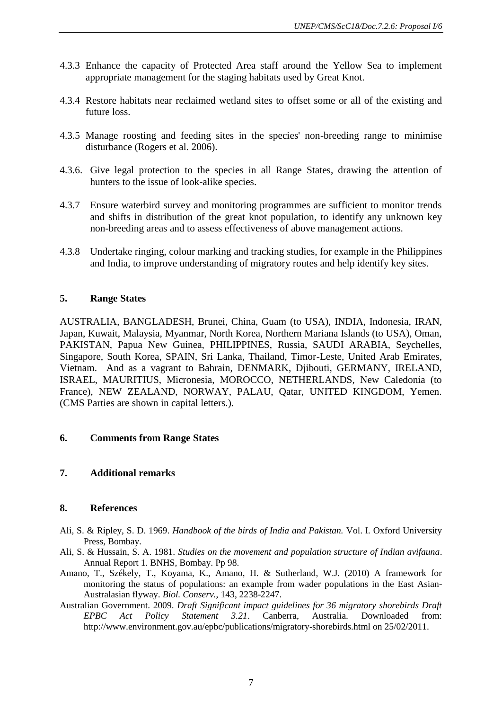- 4.3.3 Enhance the capacity of Protected Area staff around the Yellow Sea to implement appropriate management for the staging habitats used by Great Knot.
- 4.3.4 Restore habitats near reclaimed wetland sites to offset some or all of the existing and future loss.
- 4.3.5 Manage roosting and feeding sites in the species' non-breeding range to minimise disturbance (Rogers et al. 2006).
- 4.3.6. Give legal protection to the species in all Range States, drawing the attention of hunters to the issue of look-alike species.
- 4.3.7 Ensure waterbird survey and monitoring programmes are sufficient to monitor trends and shifts in distribution of the great knot population, to identify any unknown key non-breeding areas and to assess effectiveness of above management actions.
- 4.3.8 Undertake ringing, colour marking and tracking studies, for example in the Philippines and India, to improve understanding of migratory routes and help identify key sites.

## **5. Range States**

AUSTRALIA, BANGLADESH, Brunei, China, Guam (to USA), INDIA, Indonesia, IRAN, Japan, Kuwait, Malaysia, Myanmar, North Korea, Northern Mariana Islands (to USA), Oman, PAKISTAN, Papua New Guinea, PHILIPPINES, Russia, SAUDI ARABIA, Seychelles, Singapore, South Korea, SPAIN, Sri Lanka, Thailand, Timor-Leste, United Arab Emirates, Vietnam. And as a vagrant to Bahrain, DENMARK, Djibouti, GERMANY, IRELAND, ISRAEL, MAURITIUS, Micronesia, MOROCCO, NETHERLANDS, New Caledonia (to France), NEW ZEALAND, NORWAY, PALAU, Qatar, UNITED KINGDOM, Yemen. (CMS Parties are shown in capital letters.).

### **6. Comments from Range States**

# **7. Additional remarks**

#### **8. References**

- Ali, S. & Ripley, S. D. 1969. *Handbook of the birds of India and Pakistan.* Vol. I. Oxford University Press, Bombay.
- Ali, S. & Hussain, S. A. 1981. *Studies on the movement and population structure of Indian avifauna*. Annual Report 1. BNHS, Bombay. Pp 98.
- Amano, T., Székely, T., Koyama, K., Amano, H. & Sutherland, W.J. (2010) A framework for monitoring the status of populations: an example from wader populations in the East Asian-Australasian flyway. *Biol. Conserv.*, 143, 2238-2247.
- Australian Government. 2009. *Draft Significant impact guidelines for 36 migratory shorebirds Draft EPBC Act Policy Statement 3.21*. Canberra, Australia. Downloaded from: http://www.environment.gov.au/epbc/publications/migratory-shorebirds.html on 25/02/2011.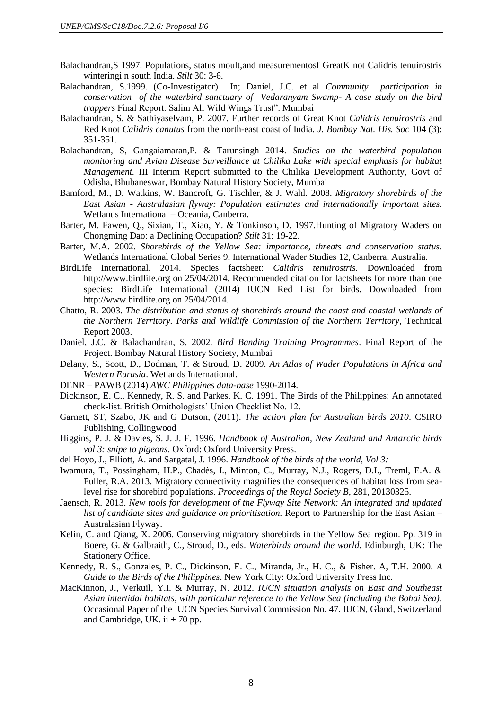- Balachandran,S 1997. Populations, status moult,and measurementosf GreatK not Calidris tenuirostris winteringi n south India. *Stilt* 30: 3-6.
- Balachandran, S.1999. (Co-Investigator) In; Daniel, J.C. et al *Community participation in conservation of the waterbird sanctuary of Vedaranyam Swamp- A case study on the bird trappers* Final Report. Salim Ali Wild Wings Trust". Mumbai
- Balachandran, S. & Sathiyaselvam, P. 2007. Further records of Great Knot *Calidris tenuirostris* and Red Knot *Calidris canutus* from the north-east coast of India. *J. Bombay Nat. His. Soc* 104 (3): 351-351.
- Balachandran, S, Gangaiamaran,P. & Tarunsingh 2014. *Studies on the waterbird population monitoring and Avian Disease Surveillance at Chilika Lake with special emphasis for habitat Management.* III Interim Report submitted to the Chilika Development Authority, Govt of Odisha, Bhubaneswar, Bombay Natural History Society, Mumbai
- Bamford, M., D. Watkins, W. Bancroft, G. Tischler, & J. Wahl. 2008. *Migratory shorebirds of the East Asian - Australasian flyway: Population estimates and internationally important sites.*  Wetlands International – Oceania, Canberra.
- Barter, M. Fawen, Q., Sixian, T., Xiao, Y. & Tonkinson, D. 1997.Hunting of Migratory Waders on Chongming Dao: a Declining Occupation? *Stilt* 31: 19-22.
- Barter, M.A. 2002. *Shorebirds of the Yellow Sea: importance, threats and conservation status.* Wetlands International Global Series 9, International Wader Studies 12, Canberra, Australia.
- BirdLife International. 2014. Species factsheet: *Calidris tenuirostris.* Downloaded from http://www.birdlife.org on 25/04/2014. Recommended citation for factsheets for more than one species: BirdLife International (2014) IUCN Red List for birds. Downloaded from http://www.birdlife.org on 25/04/2014.
- Chatto, R. 2003. *The distribution and status of shorebirds around the coast and coastal wetlands of the Northern Territory. Parks and Wildlife Commission of the Northern Territory,* Technical Report 2003.
- Daniel, J.C. & Balachandran, S. 2002. *Bird Banding Training Programmes*. Final Report of the Project. Bombay Natural History Society, Mumbai
- Delany, S., Scott, D., Dodman, T. & Stroud, D. 2009. *An Atlas of Wader Populations in Africa and Western Eurasia*. Wetlands International.
- DENR PAWB (2014) *AWC Philippines data-base* 1990-2014.
- Dickinson, E. C., Kennedy, R. S. and Parkes, K. C. 1991. The Birds of the Philippines: An annotated check-list. British Ornithologists' Union Checklist No. 12.
- Garnett, ST, Szabo, JK and G Dutson, (2011). *The action plan for Australian birds 2010*. CSIRO Publishing, Collingwood
- Higgins, P. J. & Davies, S. J. J. F. 1996. *Handbook of Australian, New Zealand and Antarctic birds vol 3: snipe to pigeons*. Oxford: Oxford University Press.
- del Hoyo, J., Elliott, A. and Sargatal, J. 1996. *Handbook of the birds of the world, Vol 3:*
- Iwamura, T., Possingham, H.P., Chadès, I., Minton, C., Murray, N.J., Rogers, D.I., Treml, E.A. & Fuller, R.A. 2013. Migratory connectivity magnifies the consequences of habitat loss from sealevel rise for shorebird populations. *Proceedings of the Royal Society B*, 281, 20130325.
- Jaensch, R. 2013. *New tools for development of the Flyway Site Network: An integrated and updated list of candidate sites and guidance on prioritisation.* Report to Partnership for the East Asian – Australasian Flyway.
- Kelin, C. and Qiang, X. 2006. Conserving migratory shorebirds in the Yellow Sea region. Pp. 319 in Boere, G. & Galbraith, C., Stroud, D., eds. *Waterbirds around the world*. Edinburgh, UK: The Stationery Office.
- Kennedy, R. S., Gonzales, P. C., Dickinson, E. C., Miranda, Jr., H. C., & Fisher. A, T.H. 2000. *A Guide to the Birds of the Philippines*. New York City: Oxford University Press Inc.
- MacKinnon, J., Verkuil, Y.I. & Murray, N. 2012. *IUCN situation analysis on East and Southeast Asian intertidal habitats, with particular reference to the Yellow Sea (including the Bohai Sea).*  Occasional Paper of the IUCN Species Survival Commission No. 47. IUCN, Gland, Switzerland and Cambridge, UK. ii  $+70$  pp.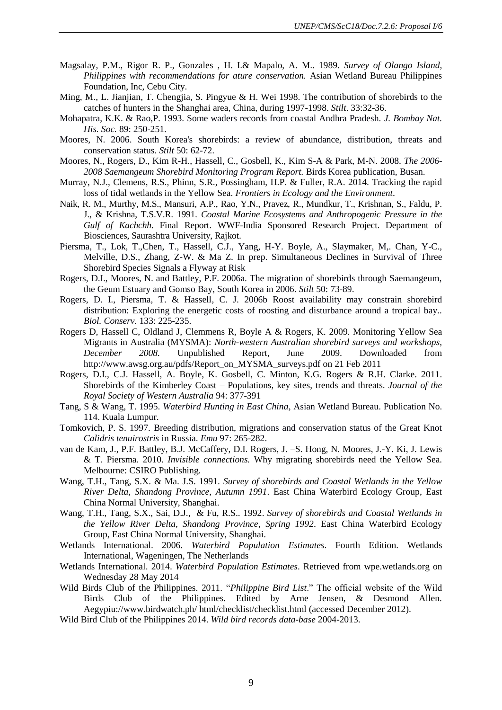- Magsalay, P.M., Rigor R. P., Gonzales , H. I.& Mapalo, A. M.. 1989. *Survey of Olango Island, Philippines with recommendations for ature conservation.* Asian Wetland Bureau Philippines Foundation, Inc, Cebu City.
- Ming, M., L. Jianjian, T. Chengjia, S. Pingyue & H. Wei 1998. The contribution of shorebirds to the catches of hunters in the Shanghai area, China, during 1997-1998. *Stilt*. 33:32-36.
- Mohapatra, K.K. & Rao,P. 1993. Some waders records from coastal Andhra Pradesh. *J. Bombay Nat. His. Soc.* 89: 250-251.
- Moores, N. 2006. South Korea's shorebirds: a review of abundance, distribution, threats and conservation status. *Stilt* 50: 62-72.
- Moores, N., Rogers, D., Kim R-H., Hassell, C., Gosbell, K., Kim S-A & Park, M-N. 2008. *The 2006- 2008 Saemangeum Shorebird Monitoring Program Report.* Birds Korea publication, Busan.
- Murray, N.J., Clemens, R.S., Phinn, S.R., Possingham, H.P. & Fuller, R.A. 2014. Tracking the rapid loss of tidal wetlands in the Yellow Sea. *Frontiers in Ecology and the Environment*.
- Naik, R. M., Murthy, M.S., Mansuri, A.P., Rao, Y.N., Pravez, R., Mundkur, T., Krishnan, S., Faldu, P. J., & Krishna, T.S.V.R. 1991. *Coastal Marine Ecosystems and Anthropogenic Pressure in the Gulf of Kachchh*. Final Report. WWF-India Sponsored Research Project. Department of Biosciences, Saurashtra University, Rajkot.
- Piersma, T., Lok, T.,Chen, T., Hassell, C.J., Yang, H-Y. Boyle, A., Slaymaker, M,. Chan, Y-C., Melville, D.S., Zhang, Z-W. & Ma Z. In prep. Simultaneous Declines in Survival of Three Shorebird Species Signals a Flyway at Risk
- Rogers, D.I., Moores, N. and Battley, P.F. 2006a. The migration of shorebirds through Saemangeum, the Geum Estuary and Gomso Bay, South Korea in 2006. *Stilt* 50: 73-89.
- Rogers, D. I., Piersma, T. & Hassell, C. J. 2006b Roost availability may constrain shorebird distribution: Exploring the energetic costs of roosting and disturbance around a tropical bay.. *Biol. Conserv.* 133: 225-235.
- Rogers D, Hassell C, Oldland J, Clemmens R, Boyle A & Rogers, K. 2009. Monitoring Yellow Sea Migrants in Australia (MYSMA): *North-western Australian shorebird surveys and workshops, December 2008.* Unpublished Report, June 2009. Downloaded from [http://www.awsg.org.au/pdfs/Report\\_on\\_MYSMA\\_surveys.pdf](http://www.awsg.org.au/pdfs/Report_on_MYSMA_surveys.pdf) on 21 Feb 2011
- Rogers, D.I., C.J. Hassell, A. Boyle, K. Gosbell, C. Minton, K.G. Rogers & R.H. Clarke. 2011. Shorebirds of the Kimberley Coast – Populations, key sites, trends and threats. *Journal of the Royal Society of Western Australia* 94: 377-391
- Tang, S & Wang, T. 1995. *Waterbird Hunting in East China*, Asian Wetland Bureau. Publication No. 114. Kuala Lumpur.
- Tomkovich, P. S. 1997. Breeding distribution, migrations and conservation status of the Great Knot *Calidris tenuirostris* in Russia. *Emu* 97: 265-282.
- van de Kam, J., P.F. Battley, B.J. McCaffery, D.I. Rogers, J. –S. Hong, N. Moores, J.-Y. Ki, J. Lewis & T. Piersma. 2010. *Invisible connections.* Why migrating shorebirds need the Yellow Sea. Melbourne: CSIRO Publishing.
- Wang, T.H., Tang, S.X. & Ma. J.S. 1991. *Survey of shorebirds and Coastal Wetlands in the Yellow River Delta, Shandong Province, Autumn 1991*. East China Waterbird Ecology Group, East China Normal University, Shanghai.
- Wang, T.H., Tang, S.X., Sai, D.J., & Fu, R.S.. 1992. *Survey of shorebirds and Coastal Wetlands in the Yellow River Delta, Shandong Province, Spring 1992*. East China Waterbird Ecology Group, East China Normal University, Shanghai.
- Wetlands International. 2006. *Waterbird Population Estimates*. Fourth Edition. Wetlands International, Wageningen, The Netherlands
- Wetlands International. 2014. *Waterbird Population Estimates*. Retrieved from [wpe.wetlands.org](http://wpe.wetlands.org/) on Wednesday 28 May 2014
- Wild Birds Club of the Philippines. 2011. "*Philippine Bird List*." The official website of the Wild Birds Club of the Philippines. Edited by Arne Jensen, & Desmond Allen. Aegypiu://www.birdwatch.ph/ html/checklist/checklist.html (accessed December 2012).
- Wild Bird Club of the Philippines 2014. *Wild bird records data-base* 2004-2013.